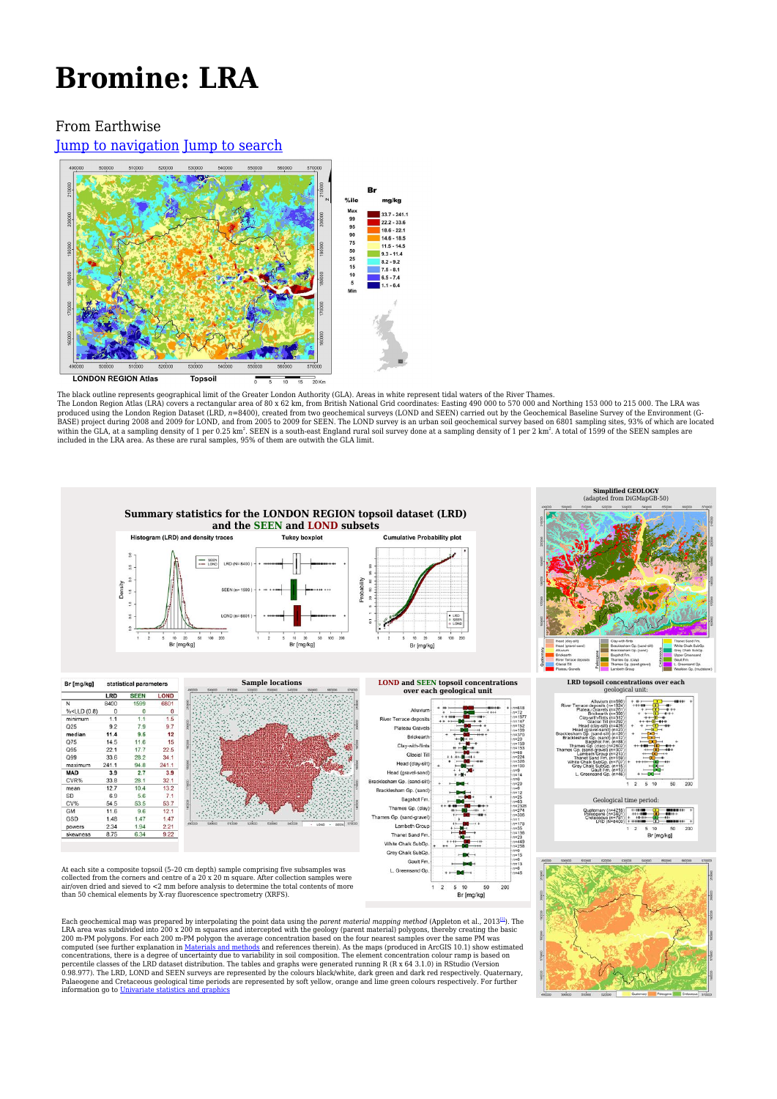# **Bromine: LRA**

#### From Earthwise

[Jump to navigation](#page--1-0) [Jump to search](#page--1-0)



The black outline represents geographical limit of the Greater London Authority (GLA). Areas in white represent tidal waters of the River Thames.<br>The London Region Atlas (LRA) covers a rectangular area of 80 x 62 km, from produced using the London Region Dataset (LRD, *n=*8400), created from two geochemical surveys (LOND and SEEN) carried out by the Geochemical Baseline Survey of the Environment (G-<br>BASE) project during 2008 and 2009 for LO



Each geochemical map was prepared by interpolating the point data using the *parent material mapping method* (Appleton et al., 2013<sup>211</sup>). The LRA area was subdivided into 200 x 200 m squares and intercepted with the geol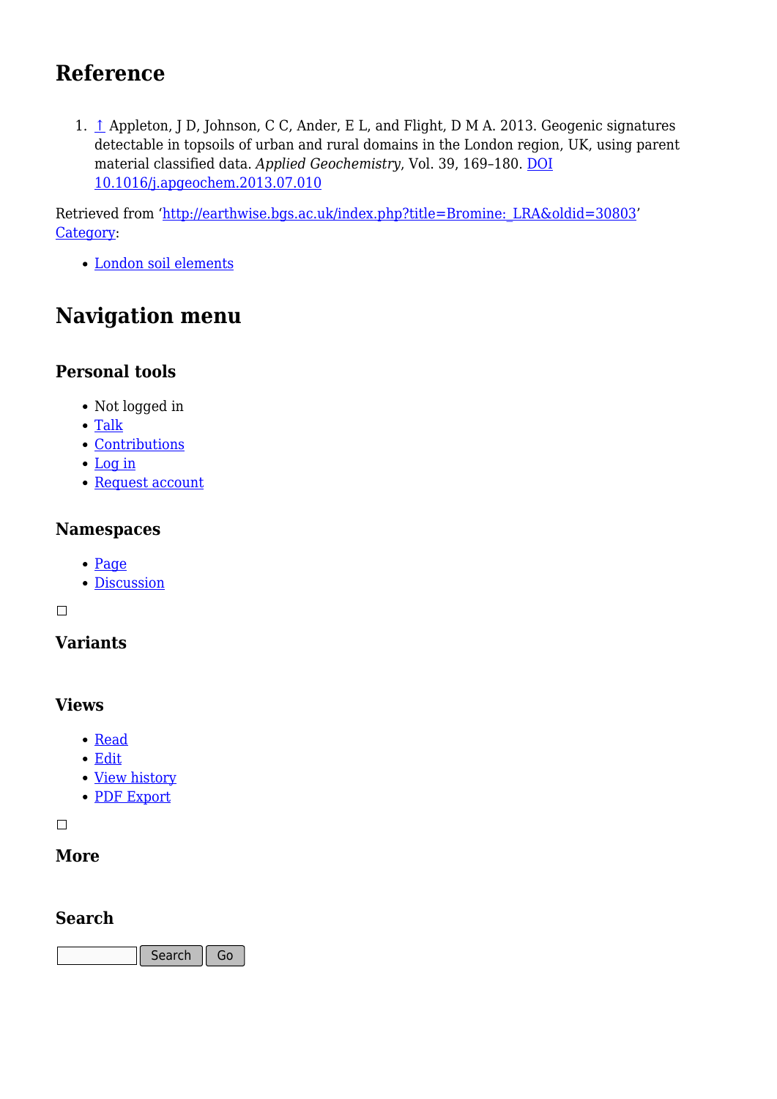# **Reference**

1. [↑](#page--1-0) Appleton, J D, Johnson, C C, Ander, E L, and Flight, D M A. 2013. Geogenic signatures detectable in topsoils of urban and rural domains in the London region, UK, using parent material classified data. *Applied Geochemistry*, Vol. 39, 169–180. [DOI](http://doi.org/10.1016/j.apgeochem.2013.07.010) [10.1016/j.apgeochem.2013.07.010](http://doi.org/10.1016/j.apgeochem.2013.07.010)

Retrieved from ['http://earthwise.bgs.ac.uk/index.php?title=Bromine:\\_LRA&oldid=30803'](http://earthwise.bgs.ac.uk/index.php?title=Bromine:_LRA&oldid=30803) [Category](http://earthwise.bgs.ac.uk/index.php/Special:Categories):

[London soil elements](http://earthwise.bgs.ac.uk/index.php/Category:London_soil_elements)

# **Navigation menu**

#### **Personal tools**

- Not logged in
- [Talk](http://earthwise.bgs.ac.uk/index.php/Special:MyTalk)
- [Contributions](http://earthwise.bgs.ac.uk/index.php/Special:MyContributions)
- [Log in](http://earthwise.bgs.ac.uk/index.php?title=Special:UserLogin&returnto=Bromine%3A+LRA&returntoquery=action%3Dmpdf)
- [Request account](http://earthwise.bgs.ac.uk/index.php/Special:RequestAccount)

#### **Namespaces**

- [Page](http://earthwise.bgs.ac.uk/index.php/Bromine:_LRA)
- [Discussion](http://earthwise.bgs.ac.uk/index.php?title=Talk:Bromine:_LRA&action=edit&redlink=1)

 $\Box$ 

### **Variants**

#### **Views**

- [Read](http://earthwise.bgs.ac.uk/index.php/Bromine:_LRA)
- [Edit](http://earthwise.bgs.ac.uk/index.php?title=Bromine:_LRA&action=edit)
- [View history](http://earthwise.bgs.ac.uk/index.php?title=Bromine:_LRA&action=history)
- [PDF Export](http://earthwise.bgs.ac.uk/index.php?title=Bromine:_LRA&action=mpdf)

 $\Box$ 

#### **More**

#### **Search**

Search Go